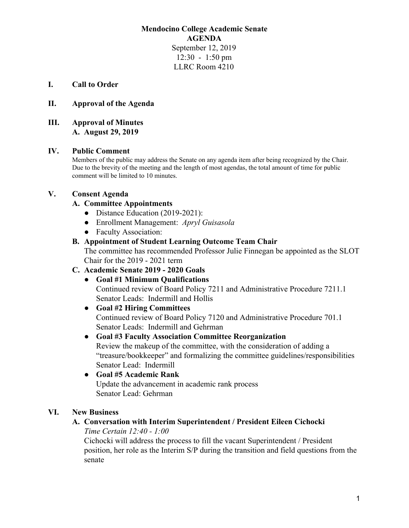## **Mendocino College Academic Senate AGENDA** September 12, 2019 12:30 - 1:50 pm LLRC Room 4210

### **I. Call to Order**

## **II. Approval of the Agenda**

### **III. Approval of Minutes A. August 29, 2019**

### **IV. Public Comment**

Members of the public may address the Senate on any agenda item after being recognized by the Chair. Due to the brevity of the meeting and the length of most agendas, the total amount of time for public comment will be limited to 10 minutes.

### **V. Consent Agenda**

### **A. Committee Appointments**

- Distance Education (2019-2021):
- Enrollment Management: *Apryl Guisasola*
- Faculty Association:

### **B. Appointment of Student Learning Outcome Team Chair**

The committee has recommended Professor Julie Finnegan be appointed as the SLOT Chair for the 2019 - 2021 term

### **C. Academic Senate 2019 - 2020 Goals**

**● Goal #1 Minimum Qualifications** Continued review of Board Policy 7211 and Administrative Procedure 7211.1 Senator Leads: Indermill and Hollis

### **● Goal #2 Hiring Committees**

Continued review of Board Policy 7120 and Administrative Procedure 701.1 Senator Leads: Indermill and Gehrman

# **● Goal #3 Faculty Association Committee Reorganization**

Review the makeup of the committee, with the consideration of adding a "treasure/bookkeeper" and formalizing the committee guidelines/responsibilities Senator Lead: Indermill

## **● Goal #5 Academic Rank** Update the advancement in academic rank process Senator Lead: Gehrman

### **VI. New Business**

# **A. Conversation with Interim Superintendent / President Eileen Cichocki**

#### *Time Certain 12:40 - 1:00*

Cichocki will address the process to fill the vacant Superintendent / President position, her role as the Interim S/P during the transition and field questions from the senate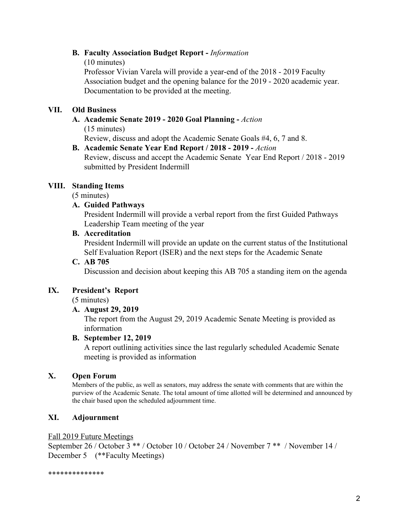## **B. Faculty Association Budget Report -** *Information*

(10 minutes)

Professor Vivian Varela will provide a year-end of the 2018 - 2019 Faculty Association budget and the opening balance for the 2019 - 2020 academic year. Documentation to be provided at the meeting.

## **VII. Old Business**

# **A. Academic Senate 2019 - 2020 Goal Planning -** *Action* (15 minutes)

Review, discuss and adopt the Academic Senate Goals #4, 6, 7 and 8.

**B. Academic Senate Year End Report / 2018 - 2019 -** *Action* Review, discuss and accept the Academic Senate Year End Report / 2018 - 2019 submitted by President Indermill

## **VIII. Standing Items**

(5 minutes)

### **A. Guided Pathways**

President Indermill will provide a verbal report from the first Guided Pathways Leadership Team meeting of the year

### **B. Accreditation**

President Indermill will provide an update on the current status of the Institutional Self Evaluation Report (ISER) and the next steps for the Academic Senate

### **C. AB 705**

Discussion and decision about keeping this AB 705 a standing item on the agenda

### **IX. President's Report**

(5 minutes)

## **A. August 29, 2019**

The report from the August 29, 2019 Academic Senate Meeting is provided as information

### **B. September 12, 2019**

A report outlining activities since the last regularly scheduled Academic Senate meeting is provided as information

## **X. Open Forum**

Members of the public, as well as senators, may address the senate with comments that are within the purview of the Academic Senate. The total amount of time allotted will be determined and announced by the chair based upon the scheduled adjournment time.

## **XI. Adjournment**

#### Fall 2019 Future Meetings

September 26 / October 3 \*\* / October 10 / October 24 / November 7 \*\* / November 14 / December 5 (\*\*Faculty Meetings)

\*\*\*\*\*\*\*\*\*\*\*\*\*\*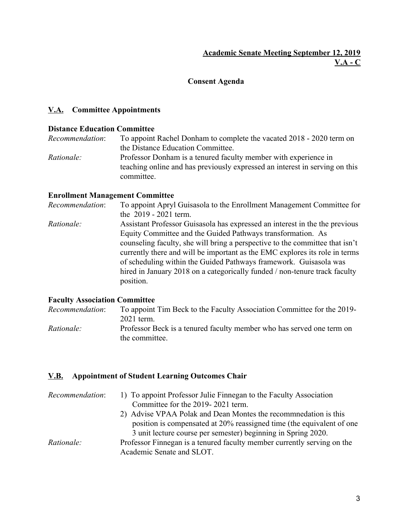## **Consent Agenda**

## **V.A. Committee Appointments**

## **Distance Education Committee**

*Recommendation*: To appoint Rachel Donham to complete the vacated 2018 - 2020 term on the Distance Education Committee. *Rationale:* Professor Donham is a tenured faculty member with experience in teaching online and has previously expressed an interest in serving on this committee.

## **Enrollment Management Committee**

*Recommendation*: To appoint Apryl Guisasola to the Enrollment Management Committee for the 2019 - 2021 term. *Rationale:* Assistant Professor Guisasola has expressed an interest in the the previous Equity Committee and the Guided Pathways transformation. As counseling faculty, she will bring a perspective to the committee that isn't currently there and will be important as the EMC explores its role in terms of scheduling within the Guided Pathways framework. Guisasola was hired in January 2018 on a categorically funded / non-tenure track faculty position.

### **Faculty Association Committee**

| <i>Recommendation:</i> | To appoint Tim Beck to the Faculty Association Committee for the 2019-                  |
|------------------------|-----------------------------------------------------------------------------------------|
|                        | 2021 term.                                                                              |
| <i>Rationale:</i>      | Professor Beck is a tenured faculty member who has served one term on<br>the committee. |
|                        |                                                                                         |

## **V.B. Appointment of Student Learning Outcomes Chair**

| Recommendation:   | 1) To appoint Professor Julie Finnegan to the Faculty Association<br>Committee for the 2019-2021 term. |
|-------------------|--------------------------------------------------------------------------------------------------------|
|                   | 2) Advise VPAA Polak and Dean Montes the recommnedation is this                                        |
|                   | position is compensated at 20% reassigned time (the equivalent of one                                  |
|                   | 3 unit lecture course per semester) beginning in Spring 2020.                                          |
| <i>Rationale:</i> | Professor Finnegan is a tenured faculty member currently serving on the                                |
|                   | Academic Senate and SLOT.                                                                              |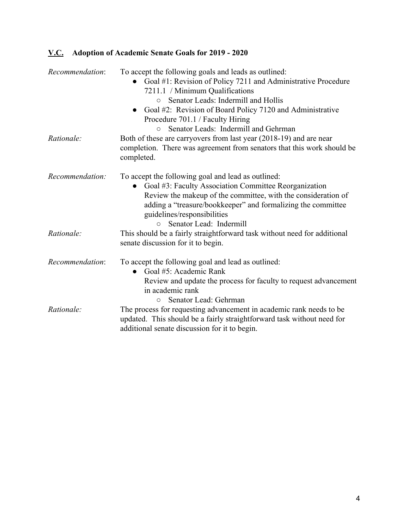# **V.C. Adoption of Academic Senate Goals for 2019 - 2020**

| Recommendation: | To accept the following goals and leads as outlined:<br>Goal #1: Revision of Policy 7211 and Administrative Procedure<br>7211.1 / Minimum Qualifications<br>Senator Leads: Indermill and Hollis<br>$\circ$<br>Goal #2: Revision of Board Policy 7120 and Administrative<br>Procedure 701.1 / Faculty Hiring<br>Senator Leads: Indermill and Gehrman<br>$\circ$ |
|-----------------|----------------------------------------------------------------------------------------------------------------------------------------------------------------------------------------------------------------------------------------------------------------------------------------------------------------------------------------------------------------|
| Rationale:      | Both of these are carryovers from last year (2018-19) and are near<br>completion. There was agreement from senators that this work should be<br>completed.                                                                                                                                                                                                     |
| Recommendation: | To accept the following goal and lead as outlined:<br>Goal #3: Faculty Association Committee Reorganization<br>$\bullet$<br>Review the makeup of the committee, with the consideration of<br>adding a "treasure/bookkeeper" and formalizing the committee<br>guidelines/responsibilities<br>Senator Lead: Indermill                                            |
| Rationale:      | This should be a fairly straightforward task without need for additional<br>senate discussion for it to begin.                                                                                                                                                                                                                                                 |
| Recommendation: | To accept the following goal and lead as outlined:<br>Goal #5: Academic Rank<br>$\bullet$<br>Review and update the process for faculty to request advancement<br>in academic rank<br>Senator Lead: Gehrman<br>$\circ$                                                                                                                                          |
| Rationale:      | The process for requesting advancement in academic rank needs to be<br>updated. This should be a fairly straightforward task without need for<br>additional senate discussion for it to begin.                                                                                                                                                                 |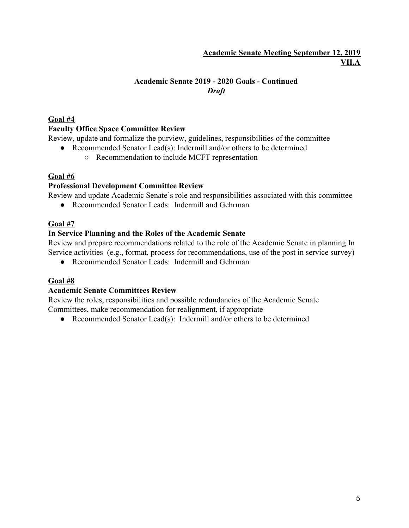## **Academic Senate Meeting September 12, 2019 VII.A**

# **Academic Senate 2019 - 2020 Goals - Continued** *Draft*

## **Goal #4**

# **Faculty Office Space Committee Review**

Review, update and formalize the purview, guidelines, responsibilities of the committee

- Recommended Senator Lead(s): Indermill and/or others to be determined
	- Recommendation to include MCFT representation

# **Goal #6**

# **Professional Development Committee Review**

Review and update Academic Senate's role and responsibilities associated with this committee

● Recommended Senator Leads: Indermill and Gehrman

# **Goal #7**

# **In Service Planning and the Roles of the Academic Senate**

Review and prepare recommendations related to the role of the Academic Senate in planning In Service activities (e.g., format, process for recommendations, use of the post in service survey)

● Recommended Senator Leads: Indermill and Gehrman

# **Goal #8**

# **Academic Senate Committees Review**

Review the roles, responsibilities and possible redundancies of the Academic Senate Committees, make recommendation for realignment, if appropriate

• Recommended Senator Lead(s): Indermill and/or others to be determined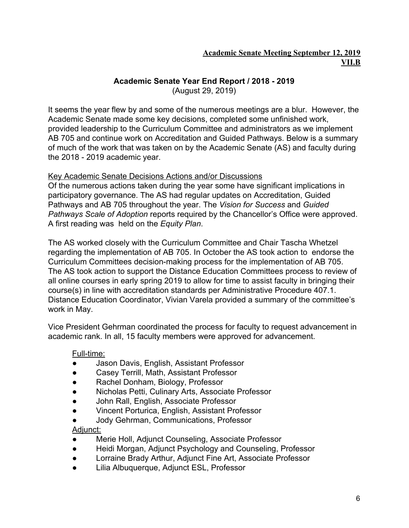# **Academic Senate Year End Report / 2018 - 2019**

(August 29, 2019)

It seems the year flew by and some of the numerous meetings are a blur. However, the Academic Senate made some key decisions, completed some unfinished work, provided leadership to the Curriculum Committee and administrators as we implement AB 705 and continue work on Accreditation and Guided Pathways. Below is a summary of much of the work that was taken on by the Academic Senate (AS) and faculty during the 2018 - 2019 academic year.

# Key Academic Senate Decisions Actions and/or Discussions

Of the numerous actions taken during the year some have significant implications in participatory governance. The AS had regular updates on Accreditation, Guided Pathways and AB 705 throughout the year. The *Vision for Success* and *Guided Pathways Scale of Adoption* reports required by the Chancellor's Office were approved. A first reading was held on the *Equity Plan*.

The AS worked closely with the Curriculum Committee and Chair Tascha Whetzel regarding the implementation of AB 705. In October the AS took action to endorse the Curriculum Committees decision-making process for the implementation of AB 705. The AS took action to support the Distance Education Committees process to review of all online courses in early spring 2019 to allow for time to assist faculty in bringing their course(s) in line with accreditation standards per Administrative Procedure 407.1. Distance Education Coordinator, Vivian Varela provided a summary of the committee's work in May.

Vice President Gehrman coordinated the process for faculty to request advancement in academic rank. In all, 15 faculty members were approved for advancement.

## Full-time:

- Jason Davis, English, Assistant Professor
- Casey Terrill, Math, Assistant Professor
- Rachel Donham, Biology, Professor
- Nicholas Petti, Culinary Arts, Associate Professor
- John Rall, English, Associate Professor
- Vincent Porturica, English, Assistant Professor
- Jody Gehrman, Communications, Professor

## Adjunct:

- Merie Holl, Adjunct Counseling, Associate Professor
- Heidi Morgan, Adjunct Psychology and Counseling, Professor
- Lorraine Brady Arthur, Adjunct Fine Art, Associate Professor
- Lilia Albuquerque, Adjunct ESL, Professor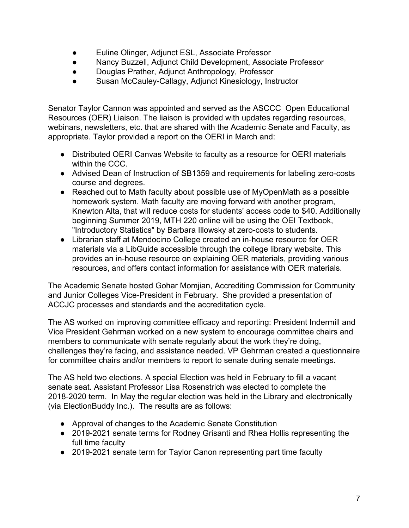- Euline Olinger, Adjunct ESL, Associate Professor
- Nancy Buzzell, Adjunct Child Development, Associate Professor
- Douglas Prather, Adjunct Anthropology, Professor
- Susan McCauley-Callagy, Adjunct Kinesiology, Instructor

Senator Taylor Cannon was appointed and served as the ASCCC Open Educational Resources (OER) Liaison. The liaison is provided with updates regarding resources, webinars, newsletters, etc. that are shared with the Academic Senate and Faculty, as appropriate. Taylor provided a report on the OERI in March and:

- Distributed OERI Canvas Website to faculty as a resource for OERI materials within the CCC.
- Advised Dean of Instruction of SB1359 and requirements for labeling zero-costs course and degrees.
- Reached out to Math faculty about possible use of MyOpenMath as a possible homework system. Math faculty are moving forward with another program, Knewton Alta, that will reduce costs for students' access code to \$40. Additionally beginning Summer 2019, MTH 220 online will be using the OEI Textbook, "Introductory Statistics" by Barbara Illowsky at zero-costs to students.
- Librarian staff at Mendocino College created an in-house resource for OER materials via a LibGuide accessible through the college library website. This provides an in-house resource on explaining OER materials, providing various resources, and offers contact information for assistance with OER materials.

The Academic Senate hosted Gohar Momjian, Accrediting Commission for Community and Junior Colleges Vice-President in February. She provided a presentation of ACCJC processes and standards and the accreditation cycle.

The AS worked on improving committee efficacy and reporting: President Indermill and Vice President Gehrman worked on a new system to encourage committee chairs and members to communicate with senate regularly about the work they're doing, challenges they're facing, and assistance needed. VP Gehrman created a questionnaire for committee chairs and/or members to report to senate during senate meetings.

The AS held two elections. A special Election was held in February to fill a vacant senate seat. Assistant Professor Lisa Rosenstrich was elected to complete the 2018-2020 term. In May the regular election was held in the Library and electronically (via ElectionBuddy Inc.). The results are as follows:

- Approval of changes to the Academic Senate Constitution
- 2019-2021 senate terms for Rodney Grisanti and Rhea Hollis representing the full time faculty
- 2019-2021 senate term for Taylor Canon representing part time faculty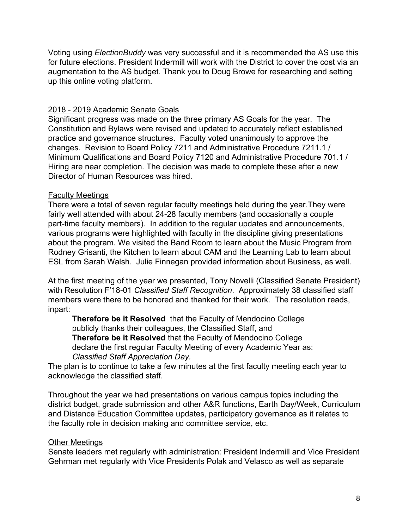Voting using *ElectionBuddy* was very successful and it is recommended the AS use this for future elections. President Indermill will work with the District to cover the cost via an augmentation to the AS budget. Thank you to Doug Browe for researching and setting up this online voting platform.

## 2018 - 2019 Academic Senate Goals

Significant progress was made on the three primary AS Goals for the year. The Constitution and Bylaws were revised and updated to accurately reflect established practice and governance structures. Faculty voted unanimously to approve the changes. Revision to Board Policy 7211 and Administrative Procedure 7211.1 / Minimum Qualifications and Board Policy 7120 and Administrative Procedure 701.1 / Hiring are near completion. The decision was made to complete these after a new Director of Human Resources was hired.

# Faculty Meetings

There were a total of seven regular faculty meetings held during the year.They were fairly well attended with about 24-28 faculty members (and occasionally a couple part-time faculty members). In addition to the regular updates and announcements, various programs were highlighted with faculty in the discipline giving presentations about the program. We visited the Band Room to learn about the Music Program from Rodney Grisanti, the Kitchen to learn about CAM and the Learning Lab to learn about ESL from Sarah Walsh. Julie Finnegan provided information about Business, as well.

At the first meeting of the year we presented, Tony Novelli (Classified Senate President) with Resolution F'18-01 *Classified Staff Recognition*. Approximately 38 classified staff members were there to be honored and thanked for their work. The resolution reads, inpart:

**Therefore be it Resolved** that the Faculty of Mendocino College publicly thanks their colleagues, the Classified Staff, and **Therefore be it Resolved** that the Faculty of Mendocino College declare the first regular Faculty Meeting of every Academic Year as: *Classified Staff Appreciation Day.*

The plan is to continue to take a few minutes at the first faculty meeting each year to acknowledge the classified staff.

Throughout the year we had presentations on various campus topics including the district budget, grade submission and other A&R functions, Earth Day/Week, Curriculum and Distance Education Committee updates, participatory governance as it relates to the faculty role in decision making and committee service, etc.

## Other Meetings

Senate leaders met regularly with administration: President Indermill and Vice President Gehrman met regularly with Vice Presidents Polak and Velasco as well as separate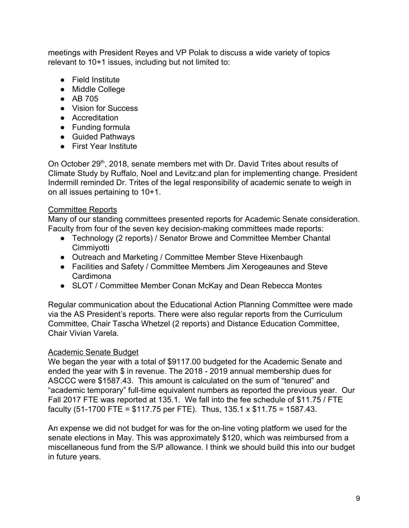meetings with President Reyes and VP Polak to discuss a wide variety of topics relevant to 10+1 issues, including but not limited to:

- Field Institute
- Middle College
- AB 705
- Vision for Success
- Accreditation
- Funding formula
- Guided Pathways
- First Year Institute

On October 29<sup>th</sup>, 2018, senate members met with Dr. David Trites about results of Climate Study by Ruffalo, Noel and Levitz:and plan for implementing change. President Indermill reminded Dr. Trites of the legal responsibility of academic senate to weigh in on all issues pertaining to 10+1.

# Committee Reports

Many of our standing committees presented reports for Academic Senate consideration. Faculty from four of the seven key decision-making committees made reports:

- Technology (2 reports) / Senator Browe and Committee Member Chantal **Cimmivotti**
- Outreach and Marketing / Committee Member Steve Hixenbaugh
- Facilities and Safety / Committee Members Jim Xerogeaunes and Steve Cardimona
- SLOT / Committee Member Conan McKay and Dean Rebecca Montes

Regular communication about the Educational Action Planning Committee were made via the AS President's reports. There were also regular reports from the Curriculum Committee, Chair Tascha Whetzel (2 reports) and Distance Education Committee, Chair Vivian Varela.

## Academic Senate Budget

We began the year with a total of \$9117.00 budgeted for the Academic Senate and ended the year with \$ in revenue. The 2018 - 2019 annual membership dues for ASCCC were \$1587.43. This amount is calculated on the sum of "tenured" and "academic temporary" full-time equivalent numbers as reported the previous year. Our Fall 2017 FTE was reported at 135.1. We fall into the fee schedule of \$11.75 / FTE faculty (51-1700 FTE =  $$117.75$  per FTE). Thus, 135.1 x  $$11.75 = 1587.43$ .

An expense we did not budget for was for the on-line voting platform we used for the senate elections in May. This was approximately \$120, which was reimbursed from a miscellaneous fund from the S/P allowance. I think we should build this into our budget in future years.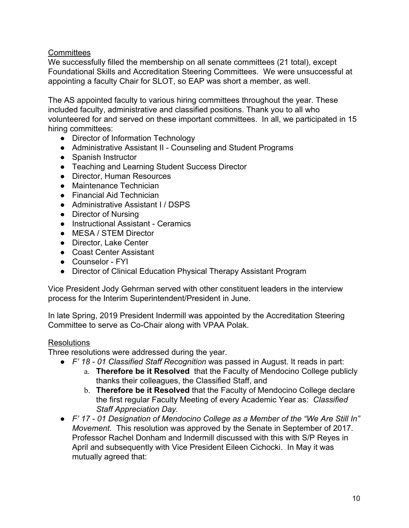## **Committees**

We successfully filled the membership on all senate committees (21 total), except Foundational Skills and Accreditation Steering Committees. We were unsuccessful at appointing a faculty Chair for SLOT, so EAP was short a member, as well.

The AS appointed faculty to various hiring committees throughout the year. These included faculty, administrative and classified positions. Thank you to all who volunteered for and served on these important committees. In all, we participated in 15 hiring committees:

- Director of Information Technology
- Administrative Assistant II Counseling and Student Programs
- Spanish Instructor
- Teaching and Learning Student Success Director
- Director, Human Resources
- Maintenance Technician
- Financial Aid Technician
- Administrative Assistant I / DSPS
- Director of Nursing
- Instructional Assistant Ceramics
- MESA / STEM Director
- Director, Lake Center
- Coast Center Assistant
- Counselor FYI
- Director of Clinical Education Physical Therapy Assistant Program

Vice President Jody Gehrman served with other constituent leaders in the interview process for the Interim Superintendent/President in June.

In late Spring, 2019 President Indermill was appointed by the Accreditation Steering Committee to serve as Co-Chair along with VPAA Polak.

## Resolutions

Three resolutions were addressed during the year.

- *F' 18 01 Classified Staff Recognition* was passed in August. It reads in part:
	- a. **Therefore be it Resolved** that the Faculty of Mendocino College publicly thanks their colleagues, the Classified Staff, and
	- b. **Therefore be it Resolved** that the Faculty of Mendocino College declare the first regular Faculty Meeting of every Academic Year as: *Classified Staff Appreciation Day.*
- *F' 17 01 Designation of Mendocino College as a Member of the "We Are Still In" Movement*. This resolution was approved by the Senate in September of 2017. Professor Rachel Donham and Indermill discussed with this with S/P Reyes in April and subsequently with Vice President Eileen Cichocki. In May it was mutually agreed that: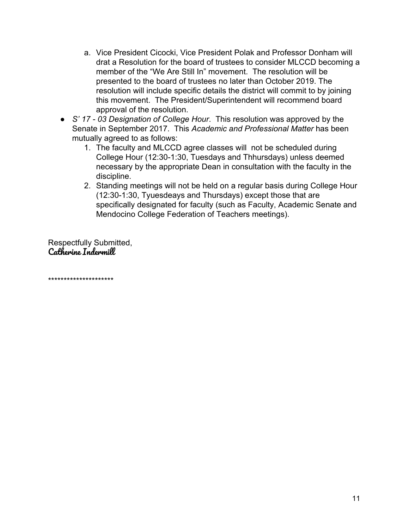- a. Vice President Cicocki, Vice President Polak and Professor Donham will drat a Resolution for the board of trustees to consider MLCCD becoming a member of the "We Are Still In" movement. The resolution will be presented to the board of trustees no later than October 2019. The resolution will include specific details the district will commit to by joining this movement. The President/Superintendent will recommend board approval of the resolution.
- *S' 17 03 Designation of College Hour*. This resolution was approved by the Senate in September 2017. This *Academic and Professional Matter* has been mutually agreed to as follows:
	- 1. The faculty and MLCCD agree classes will not be scheduled during College Hour (12:30-1:30, Tuesdays and Thhursdays) unless deemed necessary by the appropriate Dean in consultation with the faculty in the discipline.
	- 2. Standing meetings will not be held on a regular basis during College Hour (12:30-1:30, Tyuesdeays and Thursdays) except those that are specifically designated for faculty (such as Faculty, Academic Senate and Mendocino College Federation of Teachers meetings).

Respectfully Submitted, Catherine Indermill

\*\*\*\*\*\*\*\*\*\*\*\*\*\*\*\*\*\*\*\*\*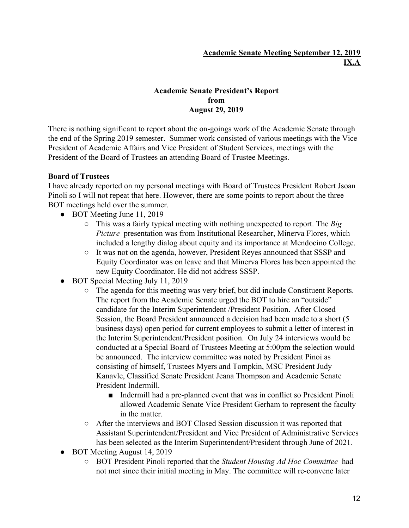## **Academic Senate Meeting September 12, 2019 IX.A**

## **Academic Senate President's Report from August 29, 2019**

There is nothing significant to report about the on-goings work of the Academic Senate through the end of the Spring 2019 semester. Summer work consisted of various meetings with the Vice President of Academic Affairs and Vice President of Student Services, meetings with the President of the Board of Trustees an attending Board of Trustee Meetings.

## **Board of Trustees**

I have already reported on my personal meetings with Board of Trustees President Robert Jsoan Pinoli so I will not repeat that here. However, there are some points to report about the three BOT meetings held over the summer.

- BOT Meeting June 11, 2019
	- This was a fairly typical meeting with nothing unexpected to report. The *Big Picture* presentation was from Institutional Researcher, Minerva Flores, which included a lengthy dialog about equity and its importance at Mendocino College.
	- It was not on the agenda, however, President Reyes announced that SSSP and Equity Coordinator was on leave and that Minerva Flores has been appointed the new Equity Coordinator. He did not address SSSP.
- BOT Special Meeting July 11, 2019
	- The agenda for this meeting was very brief, but did include Constituent Reports. The report from the Academic Senate urged the BOT to hire an "outside" candidate for the Interim Superintendent /President Position. After Closed Session, the Board President announced a decision had been made to a short (5 business days) open period for current employees to submit a letter of interest in the Interim Superintendent/President position. On July 24 interviews would be conducted at a Special Board of Trustees Meeting at 5:00pm the selection would be announced. The interview committee was noted by President Pinoi as consisting of himself, Trustees Myers and Tompkin, MSC President Judy Kanavle, Classified Senate President Jeana Thompson and Academic Senate President Indermill.
		- Indermill had a pre-planned event that was in conflict so President Pinoli allowed Academic Senate Vice President Gerham to represent the faculty in the matter.
	- After the interviews and BOT Closed Session discussion it was reported that Assistant Superintendent/President and Vice President of Administrative Services has been selected as the Interim Superintendent/President through June of 2021.
- BOT Meeting August 14, 2019
	- BOT President Pinoli reported that the *Student Housing Ad Hoc Committee* had not met since their initial meeting in May. The committee will re-convene later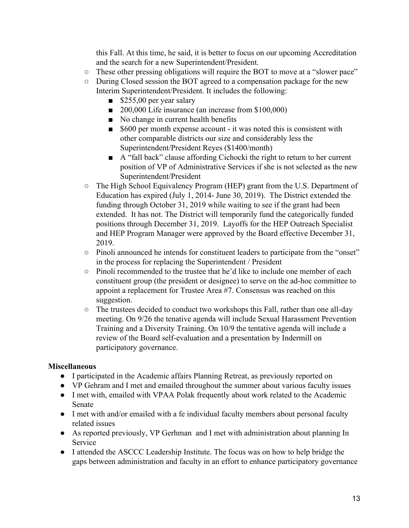this Fall. At this time, he said, it is better to focus on our upcoming Accreditation and the search for a new Superintendent/President.

- These other pressing obligations will require the BOT to move at a "slower pace"
- During Closed session the BOT agreed to a compensation package for the new Interim Superintendent/President. It includes the following:
	- $\blacksquare$  \$255,00 per year salary
	- 200,000 Life insurance (an increase from \$100,000)
	- No change in current health benefits
	- \$600 per month expense account it was noted this is consistent with other comparable districts our size and considerably less the Superintendent/President Reyes (\$1400/month)
	- A "fall back" clause affording Cichocki the right to return to her current position of VP of Administrative Services if she is not selected as the new Superintendent/President
- The High School Equivalency Program (HEP) grant from the U.S. Department of Education has expired (July 1, 2014- June 30, 2019). The District extended the funding through October 31, 2019 while waiting to see if the grant had been extended. It has not. The District will temporarily fund the categorically funded positions through December 31, 2019. Layoffs for the HEP Outreach Specialist and HEP Program Manager were approved by the Board effective December 31, 2019.
- Pinoli announced he intends for constituent leaders to participate from the "onset" in the process for replacing the Superintendent / President
- Pinoli recommended to the trustee that he'd like to include one member of each constituent group (the president or designee) to serve on the ad-hoc committee to appoint a replacement for Trustee Area #7. Consensus was reached on this suggestion.
- The trustees decided to conduct two workshops this Fall, rather than one all-day meeting. On 9/26 the tenative agenda will include Sexual Harassment Prevention Training and a Diversity Training. On 10/9 the tentative agenda will include a review of the Board self-evaluation and a presentation by Indermill on participatory governance.

## **Miscellaneous**

- I participated in the Academic affairs Planning Retreat, as previously reported on
- VP Gehram and I met and emailed throughout the summer about various faculty issues
- I met with, emailed with VPAA Polak frequently about work related to the Academic Senate
- I met with and/or emailed with a fe individual faculty members about personal faculty related issues
- As reported previously, VP Gerhman and I met with administration about planning In Service
- I attended the ASCCC Leadership Institute. The focus was on how to help bridge the gaps between administration and faculty in an effort to enhance participatory governance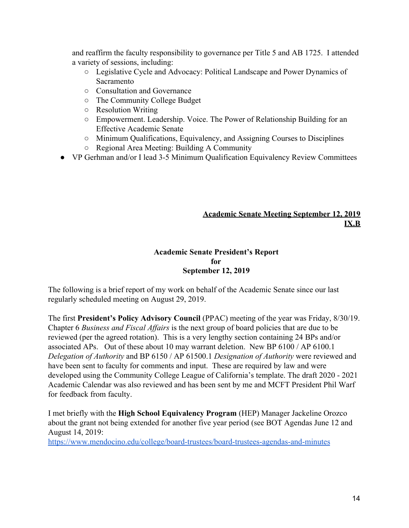and reaffirm the faculty responsibility to governance per Title 5 and AB 1725. I attended a variety of sessions, including:

- Legislative Cycle and Advocacy: Political Landscape and Power Dynamics of Sacramento
- Consultation and Governance
- The Community College Budget
- Resolution Writing
- Empowerment. Leadership. Voice. The Power of Relationship Building for an Effective Academic Senate
- Minimum Qualifications, Equivalency, and Assigning Courses to Disciplines
- Regional Area Meeting: Building A Community
- VP Gerhman and/or I lead 3-5 Minimum Qualification Equivalency Review Committees

# **Academic Senate Meeting September 12, 2019 IX.B**

## **Academic Senate President's Report for September 12, 2019**

The following is a brief report of my work on behalf of the Academic Senate since our last regularly scheduled meeting on August 29, 2019.

The first **President's Policy Advisory Council** (PPAC) meeting of the year was Friday, 8/30/19. Chapter 6 *Business and Fiscal Affairs* is the next group of board policies that are due to be reviewed (per the agreed rotation). This is a very lengthy section containing 24 BPs and/or associated APs. Out of these about 10 may warrant deletion. New BP 6100 / AP 6100.1 *Delegation of Authority* and BP 6150 / AP 61500.1 *Designation of Authority* were reviewed and have been sent to faculty for comments and input. These are required by law and were developed using the Community College League of California's template. The draft 2020 - 2021 Academic Calendar was also reviewed and has been sent by me and MCFT President Phil Warf for feedback from faculty.

I met briefly with the **High School Equivalency Program** (HEP) Manager Jackeline Orozco about the grant not being extended for another five year period (see BOT Agendas June 12 and August 14, 2019:

<https://www.mendocino.edu/college/board-trustees/board-trustees-agendas-and-minutes>